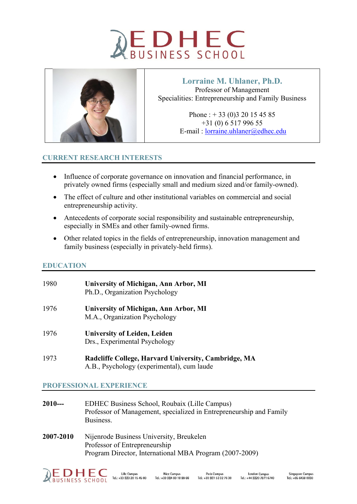



**Lorraine M. Uhlaner, Ph.D.** Professor of Management Specialities: Entrepreneurship and Family Business

> Phone : + 33 (0)3 20 15 45 85 +31 (0) 6 517 996 55 E-mail : [lorraine.uhlaner@edhec.edu](mailto:lorraine.uhlaner@edhec.edu)

## **CURRENT RESEARCH INTERESTS**

- Influence of corporate governance on innovation and financial performance, in privately owned firms (especially small and medium sized and/or family-owned).
- The effect of culture and other institutional variables on commercial and social entrepreneurship activity.
- Antecedents of corporate social responsibility and sustainable entrepreneurship, especially in SMEs and other family-owned firms.
- Other related topics in the fields of entrepreneurship, innovation management and family business (especially in privately-held firms).

## **EDUCATION**

| 1980 | University of Michigan, Ann Arbor, MI<br>Ph.D., Organization Psychology                            |
|------|----------------------------------------------------------------------------------------------------|
| 1976 | University of Michigan, Ann Arbor, MI<br>M.A., Organization Psychology                             |
| 1976 | <b>University of Leiden, Leiden</b><br>Drs., Experimental Psychology                               |
| 1973 | Radcliffe College, Harvard University, Cambridge, MA<br>A.B., Psychology (experimental), cum laude |

# **PROFESSIONAL EXPERIENCE**

- **2010---** EDHEC Business School, Roubaix (Lille Campus) Professor of Management, specialized in Entrepreneurship and Family Business.
- **2007-2010** Nijenrode Business University, Breukelen Professor of Entrepreneurship Program Director, International MBA Program (2007-2009)

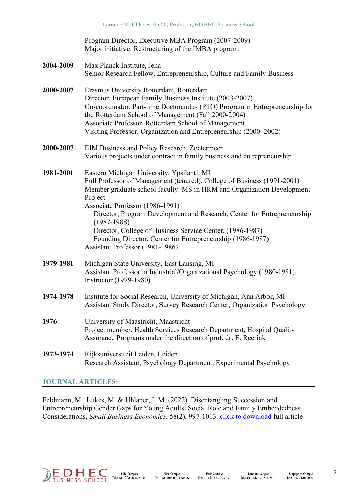Program Director, Executive MBA Program (2007-2009) Major initiative: Restructuring of the IMBA program.

## **2004-2009** Max Planck Institute, Jena Senior Research Fellow, Entrepreneurship, Culture and Family Business

- **2000-2007** Erasmus University Rotterdam, Rotterdam Director, European Family Business Institute (2003-2007) Co-coordinator, Part-time Doctorandus (PTO) Program in Entrepreneurship for the Rotterdam School of Management (Fall 2000-2004) Associate Professor, Rotterdam School of Management Visiting Professor, Organization and Entrepreneurship (2000–2002)
- **2000-2007** EIM Business and Policy Research, Zoetermeer Various projects under contract in family business and entrepreneurship
- **1981-2001** Eastern Michigan University, Ypsilanti, MI Full Professor of Management (tenured), College of Business (1991-2001) Member graduate school faculty: MS in HRM and Organization Development Project Associate Professor (1986-1991) Director, Program Development and Research, Center for Entrepreneurship

(1987-1988) Director, College of Business Service Center, (1986-1987) Founding Director, Center for Entrepreneurship (1986-1987)

- Assistant Professor (1981-1986)
- **1979-1981** Michigan State University, East Lansing, MI Assistant Professor in Industrial/Organizational Psychology (1980-1981), Instructor (1979-1980)
- **1974-1978** Institute for Social Research, University of Michigan, Ann Arbor, MI Assistant Study Director, Survey Research Center, Organization Psychology
- **1976** University of Maastricht, Maastricht Project member, Health Services Research Department, Hospital Quality Assurance Programs under the direction of prof. dr. E. Reerink
- **1973-1974** Rijksuniversiteit Leiden, Leiden Research Assistant, Psychology Department, Experimental Psychology

## **JOURNAL ARTICLES1**

Feldmann, M., Lukes, M. & Uhlaner, L.M. (2022). Disentangling Succession and Entrepreneurship Gender Gaps for Young Adults: Social Role and Family Embeddedness Considerations, *Small Business Economics*, 58(2), 997-1013. [click to download](https://www.springerprofessional.de/en/disentangling-succession-and-entrepreneurship-gender-gaps-gender/18612074) full article.

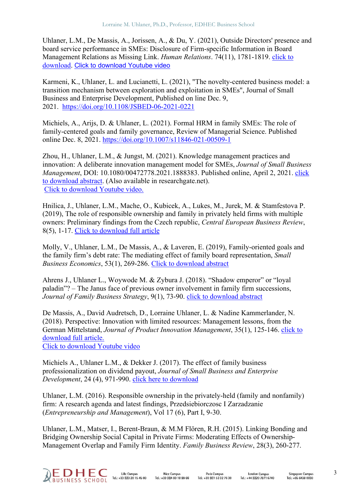Uhlaner, L.M., De Massis, A., Jorissen, A., & Du, Y. (2021), Outside Directors' presence and board service performance in SMEs: Disclosure of Firm-specific Information in Board Management Relations as Missing Link. *Human Relations*. 74(11), 1781-1819. [click to](https://journals.sagepub.com/doi/full/10.1177/0018726720932985)  [download.](https://journals.sagepub.com/doi/full/10.1177/0018726720932985) [Click to download Youtube video](https://www.youtube.com/watch?v=rJzimXJor2c)

[Karmeni, K.,](https://www.emerald.com/insight/search?q=Kerim%20Karmeni) [Uhlaner, L.](https://www.emerald.com/insight/search?q=Lorraine%20Uhlaner) and [Lucianetti, L.](https://www.emerald.com/insight/search?q=Lorenzo%20Lucianetti) (2021), "The novelty-centered business model: a transition mechanism between exploration and exploitation in SMEs", [Journal of Small](https://www.emerald.com/insight/publication/issn/1462-6004)  [Business and Enterprise Development,](https://www.emerald.com/insight/publication/issn/1462-6004) Published on line Dec. 9, 2021. <https://doi.org/10.1108/JSBED-06-2021-0221>

Michiels, A., Arijs, D. & Uhlaner, L. (2021). Formal HRM in family SMEs: The role of family-centered goals and family governance, Review of Managerial Science. Published online Dec. 8, 2021.<https://doi.org/10.1007/s11846-021-00509-1>

Zhou, H., Uhlaner, L.M., & Jungst, M. (2021). Knowledge management practices and innovation: A deliberate innovation management model for SMEs, *Journal of Small Business Management*, DOI: 10.1080/00472778.2021.1888383. Published online, April 2, 2021. [click](https://www.tandfonline.com/doi/full/10.1080/00472778.2021.1888383)  [to download abstract.](https://www.tandfonline.com/doi/full/10.1080/00472778.2021.1888383) (Also available in researchgate.net). [Click to download Youtube video.](https://www.youtube.com/watch?v=VvuvnjtRHtw)

Hnilica, J., Uhlaner, L.M., Mache, O., Kubicek, A., Lukes, M., Jurek, M. & Stamfestova P. (2019), The role of responsible ownership and family in privately held firms with multiple owners: Preliminary findings from the Czech republic, *Central European Business Review*, 8(5), 1-17. [Click to download full article](https://cebr.vse.cz/pdfs/cbr/2019/05/06.pdf)

Molly, V., Uhlaner, L.M., De Massis, A., & Laveren, E. (2019), Family-oriented goals and the family firm's debt rate: The mediating effect of family board representation, *Small Business Economics*, 53(1), 269-286. [Click to download abstract](https://www.researchgate.net/publication/324829295_Family-centered_goals_family_board_representation_and_debt_financing)

Ahrens J., Uhlaner L., Woywode M. & Zybura J. (2018). "Shadow emperor" or "loyal paladin"? – The Janus face of previous owner involvement in family firm successions, *Journal of Family Business Strategy*, 9(1), 73-90. [click to download abstract](https://www.sciencedirect.com/science/article/pii/S1877858517300402)

De Massis, A., David Audretsch, D., Lorraine Uhlaner, L. & Nadine Kammerlander, N. (2018). Perspective: Innovation with limited resources: Management lessons, from the German Mittelstand, *Journal of Product Innovation Management*, 35(1), 125-146. [click to](http://onlinelibrary.wiley.com/doi/10.1111/jpim.12373/epdf)  [download full article.](http://onlinelibrary.wiley.com/doi/10.1111/jpim.12373/epdf)

[Click to download Youtube video](https://www.youtube.com/watch?v=dz8QFl_AX8I)

Michiels A., Uhlaner L.M., & Dekker J. (2017). The effect of family business professionalization on dividend payout, *Journal of Small Business and Enterprise Development*, 24 (4), 971-990. [click here to download](https://www.researchgate.net/publication/318742585_The_effect_of_family_business_professionalization_on_dividend_payout)

Uhlaner, L.M. (2016). Responsible ownership in the privately-held (family and nonfamily) firm: A research agenda and latest findings, Przedsiebiorczosc I Zarzadzanie (*Entrepreneurship and Management*), Vol 17 (6), Part I, 9-30.

Uhlaner, L.M., Matser, I., Berent-Braun, & M.M Flören, R.H. (2015). Linking Bonding and Bridging Ownership Social Capital in Private Firms: Moderating Effects of Ownership-Management Overlap and Family Firm Identity. *Family Business Review*, 28(3), 260-277.

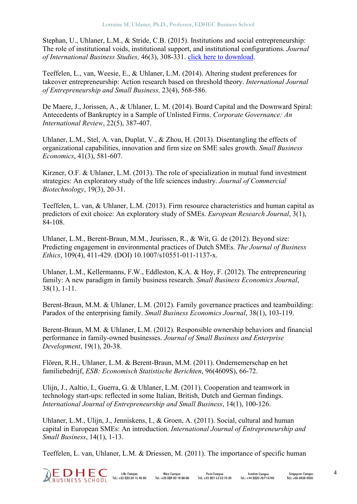Stephan, U., Uhlaner, L.M., & Stride, C.B. (2015). Institutions and social entrepreneurship: The role of institutional voids, institutional support, and institutional configurations. *Journal of International Business Studies,* 46(3), 308-331. [click here to download.](https://www.researchgate.net/publication/264352788_Institutions_and_Social_Entrepreneurship_The_Role_of_Institutional_Voids_Institutional_Support_and_Institutional_Configurations)

Teeffelen, L., van, Weesie, E., & Uhlaner, L.M. (2014). Altering student preferences for takeover entrepreneurship: Action research based on threshold theory. *International Journal of Entrepreneurship and Small Business,* 23(4), 568-586.

De Maere, J., Jorissen, A., & Uhlaner, L. M. (2014). Board Capital and the Downward Spiral: Antecedents of Bankruptcy in a Sample of Unlisted Firms. *Corporate Governance: An International Review*, 22(5), 387-407.

Uhlaner, L.M., Stel, A. van, Duplat, V., & Zhou, H. (2013). Disentangling the effects of organizational capabilities, innovation and firm size on SME sales growth. *Small Business Economics*, 41(3), 581-607.

Kirzner, O.F. & Uhlaner, L.M. (2013). The role of specialization in mutual fund investment strategies: An exploratory study of the life sciences industry. *Journal of Commercial Biotechnology*, 19(3), 20-31.

Teeffelen, L. van, & Uhlaner, L.M. (2013). Firm resource characteristics and human capital as predictors of exit choice: An exploratory study of SMEs. *European Research Journal*, 3(1), 84-108.

Uhlaner, L.M., Berent-Braun, M.M., Jeurissen, R., & Wit, G. de (2012). Beyond size: Predicting engagement in environmental practices of Dutch SMEs. *The Journal of Business Ethics*, 109(4), 411-429. (DOI) 10.1007/s10551-011-1137-x.

Uhlaner, L.M., Kellermanns, F.W., Eddleston, K.A. & Hoy, F. (2012). The entrepreneuring family: A new paradigm in family business research. *Small Business Economics Journal*, 38(1), 1-11.

Berent-Braun, M.M. & Uhlaner, L.M. (2012). Family governance practices and teambuilding: Paradox of the enterprising family. *Small Business Economics Journal*, 38(1), 103-119.

Berent-Braun, M.M. & Uhlaner, L.M. (2012). Responsible ownership behaviors and financial performance in family-owned businesses. *Journal of Small Business and Enterprise Development*, 19(1), 20-38.

Flören, R.H., Uhlaner, L.M. & Berent-Braun, M.M. (2011). Ondernemerschap en het familiebedrijf, *ESB: Economisch Statistische Berichten*, 96(4609S), 66-72.

Ulijn, J., Aaltio, I., Guerra, G. & Uhlaner, L.M. (2011). Cooperation and teamwork in technology start-ups: reflected in some Italian, British, Dutch and German findings. *International Journal of Entrepreneurship and Small Business*, 14(1), 100-126.

Uhlaner, L.M., Ulijn, J., Jenniskens, I., & Groen, A. (2011). Social, cultural and human capital in European SMEs: An introduction*. International Journal of Entrepreneurship and Small Business*, 14(1), 1-13.

Teeffelen, L. van, Uhlaner, L.M. & Driessen, M. (2011). The importance of specific human

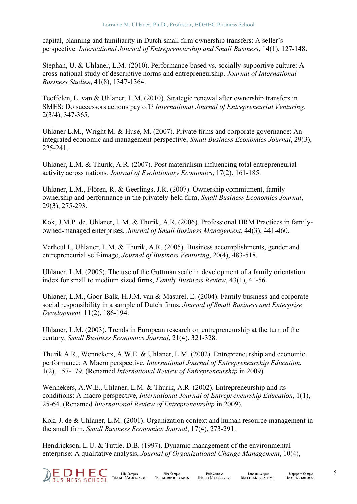capital, planning and familiarity in Dutch small firm ownership transfers: A seller's perspective. *International Journal of Entrepreneurship and Small Business*, 14(1), 127-148.

Stephan, U. & Uhlaner, L.M. (2010). Performance-based vs. socially-supportive culture: A cross-national study of descriptive norms and entrepreneurship. *Journal of International Business Studies*, 41(8), 1347-1364.

Teeffelen, L. van & Uhlaner, L.M. (2010). Strategic renewal after ownership transfers in SMES: Do successors actions pay off? *International Journal of Entrepreneurial Venturing*, 2(3/4), 347-365.

Uhlaner L.M., Wright M. & Huse, M. (2007). Private firms and corporate governance: An integrated economic and management perspective, *Small Business Economics Journal*, 29(3), 225-241.

Uhlaner, L.M. & Thurik, A.R. (2007). Post materialism influencing total entrepreneurial activity across nations. *Journal of Evolutionary Economics*, 17(2), 161-185.

Uhlaner, L.M., Flören, R. & Geerlings, J.R. (2007). Ownership commitment, family ownership and performance in the privately-held firm, *Small Business Economics Journal*, 29(3), 275-293.

Kok, J.M.P. de, Uhlaner, L.M. & Thurik, A.R. (2006). Professional HRM Practices in familyowned-managed enterprises, *Journal of Small Business Management*, 44(3), 441-460.

Verheul I., Uhlaner, L.M. & Thurik, A.R. (2005). Business accomplishments, gender and entrepreneurial self-image, *Journal of Business Venturing*, 20(4), 483-518.

Uhlaner, L.M. (2005). The use of the Guttman scale in development of a family orientation index for small to medium sized firms, *Family Business Review*, 43(1), 41-56.

Uhlaner, L.M., Goor-Balk, H.J.M. van & Masurel, E. (2004). Family business and corporate social responsibility in a sample of Dutch firms, *Journal of Small Business and Enterprise Development,* 11(2), 186-194.

Uhlaner, L.M. (2003). Trends in European research on entrepreneurship at the turn of the century, *Small Business Economics Journal*, 21(4), 321-328.

Thurik A.R., Wennekers, A.W.E. & Uhlaner, L.M. (2002). Entrepreneurship and economic performance: A Macro perspective, *International Journal of Entrepreneurship Education*, 1(2), 157-179. (Renamed *International Review of Entrepreneurship* in 2009).

Wennekers, A.W.E., Uhlaner, L.M. & Thurik, A.R. (2002). Entrepreneurship and its conditions: A macro perspective, *International Journal of Entrepreneurship Education*, 1(1), 25-64. (Renamed *International Review of Entrepreneurship* in 2009).

Kok, J. de & Uhlaner, L.M. (2001). Organization context and human resource management in the small firm, *Small Business Economics Journal*, 17(4), 273-291.

Hendrickson, L.U. & Tuttle, D.B. (1997). Dynamic management of the environmental enterprise: A qualitative analysis, *Journal of Organizational Change Management*, 10(4),

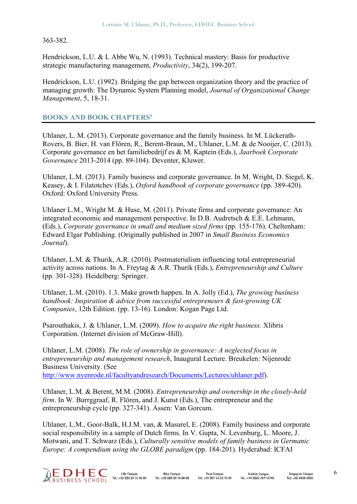#### 363-382.

Hendrickson, L.U. & L Abbe Wu, N. (1993). Technical mastery: Basis for productive strategic manufacturing management, *Productivity*, 34(2), 199-207.

Hendrickson, L.U. (1992). Bridging the gap between organization theory and the practice of managing growth: The Dynamic System Planning model, *Journal of Organizational Change Management*, 5, 18-31.

### **BOOKS AND BOOK CHAPTERS1**

Uhlaner, L. M. (2013). Corporate governance and the family business. In M. Lückerath-Rovers, B. Bier, H. van Flören, R., Berent-Braun, M., Uhlaner, L.M. & de Nooijer, C. (2013). Corporate governance en het familiebedrijf es & M. Kaptein (Eds.), *Jaarboek Corporate Governance* 2013-2014 (pp. 89-104). Deventer, Kluwer.

Uhlaner, L.M. (2013). Family business and corporate governance. In M. Wright, D. Siegel, K. Keasey, & I. Filatotchev (Eds.), *Oxford handbook of corporate governance* (pp. 389-420). Oxford: Oxford University Press.

Uhlaner L.M., Wright M. & Huse, M. (2011). Private firms and corporate governance: An integrated economic and management perspective. In D.B. Audretsch & E.E. Lehmann, (Eds.), *Corporate governance in small and medium sized firms* (pp. 155-176). Cheltenham: Edward Elgar Publishing. (Originally published in 2007 in *Small Business Economics Journal*).

Uhlaner, L.M. & Thurik, A.R. (2010). Postmaterialism influencing total entrepreneurial activity across nations. In A. Freytag & A.R. Thurik (Eds.), *Entrepreneurship and Culture* (pp. 301-328). Heidelberg: Springer.

Uhlaner, L.M. (2010). 1.3. Make growth happen. In A. Jolly (Ed.), *The growing business handbook: Inspiration & advice from successful entrepreneurs & fast-growing UK Companies*, 12th Edition. (pp. 13-16). London: Kogan Page Ltd.

Psarouthakis, J. & Uhlaner, L.M. (2009). *How to acquire the right business.* Xlibris Corporation. (Internet division of McGraw-Hill).

Uhlaner, L.M. (2008). *The role of ownership in governance: A neglected focus in entrepreneurship and management research*, Inaugural Lecture. Breukelen: Nijenrode Business University. (See [http://www.nyenrode.nl/facultyandresearch/Documents/Lectures/uhlaner.pdf\)](http://www.nyenrode.nl/facultyandresearch/Documents/Lectures/uhlaner.pdf).

Uhlaner, L.M. & Berent, M.M. (2008). *Entrepreneurship and ownership in the closely-held firm*. In W. Burrggraaf, R. Flören, and J. Kunst (Eds.), The entrepreneur and the entrepreneurship cycle (pp. 327-341). Assen: Van Gorcum.

Uhlaner, L.M., Goor-Balk, H.J.M. van, & Masurel, E. (2008). Family business and corporate social responsibility in a sample of Dutch firms. In V. Gupta, N. Levenburg, L. Moore, J. Motwani, and T. Schwarz (Eds.), *Culturally sensitive models of family business in Germanic Europe: A compendium using the GLOBE paradigm* (pp. 184-201). Hyderabad: ICFAI

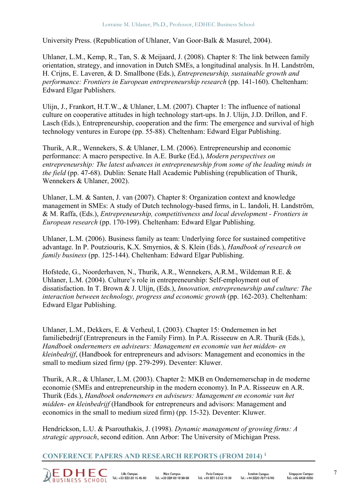University Press. (Republication of Uhlaner, Van Goor-Balk & Masurel, 2004).

Uhlaner, L.M., Kemp, R., Tan, S. & Meijaard, J. (2008). Chapter 8: The link between family orientation, strategy, and innovation in Dutch SMEs, a longitudinal analysis. In H. Landström, H. Crijns, E. Laveren, & D. Smallbone (Eds.), *Entrepreneurship, sustainable growth and performance: Frontiers in European entrepreneurship research* (pp. 141-160). Cheltenham: Edward Elgar Publishers.

Ulijn, J., Frankort, H.T.W., & Uhlaner, L.M. (2007). Chapter 1: The influence of national culture on cooperative attitudes in high technology start-ups. In J. Ulijn, J.D. Drillon, and F. Lasch (Eds.), Entrepreneurship, cooperation and the firm: The emergence and survival of high technology ventures in Europe (pp. 55-88). Cheltenham: Edward Elgar Publishing.

Thurik, A.R., Wennekers, S. & Uhlaner, L.M. (2006). Entrepreneurship and economic performance: A macro perspective. In A.E. Burke (Ed.), *Modern perspectives on entrepreneurship: The latest advances in entrepreneurship from some of the leading minds in the field* (pp. 47-68). Dublin: Senate Hall Academic Publishing (republication of Thurik, Wennekers & Uhlaner, 2002).

Uhlaner, L.M. & Santen, J. van (2007). Chapter 8: Organization context and knowledge management in SMEs: A study of Dutch technology-based firms, in L. Iandoli, H. Landström, & M. Raffa, (Eds.), *Entrepreneurship, competitiveness and local development - Frontiers in European research* (pp. 170-199). Cheltenham: Edward Elgar Publishing.

Uhlaner, L.M. (2006). Business family as team: Underlying force for sustained competitive advantage. In P. Poutziouris, K.X. Smyrnios, & S. Klein (Eds.), *Handbook of research on family business* (pp. 125-144). Cheltenham: Edward Elgar Publishing.

Hofstede, G., Noorderhaven, N., Thurik, A.R., Wennekers, A.R.M., Wildeman R.E. & Uhlaner, L.M. (2004). Culture's role in entrepreneurship: Self-employment out of dissatisfaction. In T. Brown & J. Ulijn, (Eds.), *Innovation, entrepreneurship and culture: The interaction between technology, progress and economic growth* (pp. 162-203). Cheltenham: Edward Elgar Publishing.

Uhlaner, L.M., Dekkers, E. & Verheul, I. (2003). Chapter 15: Ondernemen in het familiebedrijf (Entrepreneurs in the Family Firm). In P.A. Risseeuw en A.R. Thurik (Eds.), *Handboek ondernemers en adviseurs: Management en economie van het midden- en kleinbedrijf*, (Handbook for entrepreneurs and advisors: Management and economics in the small to medium sized firm*)* (pp. 279-299). Deventer: Kluwer.

Thurik, A.R., & Uhlaner, L.M. (2003). Chapter 2: MKB en Ondernemerschap in de moderne economie (SMEs and entrepreneurship in the modern economy). In P.A. Risseeuw en A.R. Thurik (Eds.), *Handboek ondernemers en adviseurs: Management en economie van het midden- en kleinbedrijf* (Handbook for entrepreneurs and advisors: Management and economics in the small to medium sized firm) (pp. 15-32). Deventer: Kluwer.

Hendrickson, L.U. & Psarouthakis, J. (1998). *Dynamic management of growing firms: A strategic approach*, second edition. Ann Arbor: The University of Michigan Press.

**CONFERENCE PAPERS AND RESEARCH REPORTS (FROM 2014) <sup>1</sup>**

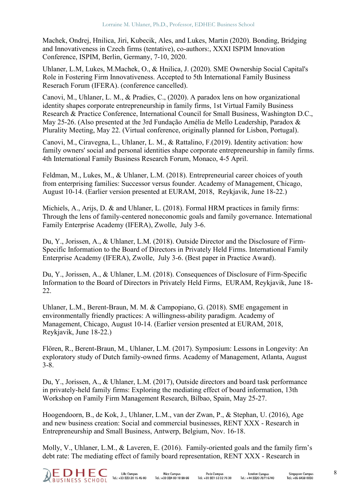Machek, Ondrej, Hnilica, Jiri, Kubecik, Ales, and Lukes, Martin (2020). Bonding, Bridging and Innovativeness in Czech firms (tentative), co-authors:, XXXI ISPIM Innovation Conference, ISPIM, Berlin, Germany, 7-10, 2020.

Uhlaner, L.M, Lukes, M.Machek, O., & Hnilica, J. (2020). SME Ownership Social Capital's Role in Fostering Firm Innovativeness. Accepted to 5th International Family Business Reserach Forum (IFERA). (conference cancelled).

Canovi, M., Uhlaner, L. M., & Pradies, C., (2020). A paradox lens on how organizational identity shapes corporate entrepreneurship in family firms, 1st Virtual Family Business Research & Practice Conference, International Council for Small Business, Washington D.C., May 25-26. (Also presented at the 3rd Fundação Amélia de Mello Leadership, Paradox & Plurality Meeting, May 22. (Virtual conference, originally planned for Lisbon, Portugal).

Canovi, M., Ciravegna, L., Uhlaner, L. M., & Rattalino, F.(2019). Identity activation: how family owners' social and personal identities shape corporate entrepreneurship in family firms. 4th International Family Business Research Forum, Monaco, 4-5 April.

Feldman, M., Lukes, M., & Uhlaner, L.M. (2018). Entrepreneurial career choices of youth from enterprising families: Successor versus founder. Academy of Management, Chicago, August 10-14. (Earlier version presented at EURAM, 2018, Reykjavik, June 18-22.)

Michiels, A., Arijs, D. & and Uhlaner, L. (2018). Formal HRM practices in family firms: Through the lens of family-centered noneconomic goals and family governance. International Family Enterprise Academy (IFERA), Zwolle, July 3-6.

Du, Y., Jorissen, A., & Uhlaner, L.M. (2018). Outside Director and the Disclosure of Firm-Specific Information to the Board of Directors in Privately Held Firms. International Family Enterprise Academy (IFERA), Zwolle, July 3-6. (Best paper in Practice Award).

Du, Y., Jorissen, A., & Uhlaner, L.M. (2018). Consequences of Disclosure of Firm-Specific Information to the Board of Directors in Privately Held Firms, EURAM, Reykjavik, June 18- 22.

Uhlaner, L.M., Berent-Braun, M. M. & Campopiano, G. (2018). SME engagement in environmentally friendly practices: A willingness-ability paradigm. Academy of Management, Chicago, August 10-14. (Earlier version presented at EURAM, 2018, Reykjavik, June 18-22.)

Flören, R., Berent-Braun, M., Uhlaner, L.M. (2017). Symposium: Lessons in Longevity: An exploratory study of Dutch family-owned firms. Academy of Management, Atlanta, August 3-8.

Du, Y., Jorissen, A., & Uhlaner, L.M. (2017), Outside directors and board task performance in privately-held family firms: Exploring the mediating effect of board information, 13th Workshop on Family Firm Management Research, Bilbao, Spain, May 25-27.

Hoogendoorn, B., de Kok, J., Uhlaner, L.M., van der Zwan, P., & Stephan, U. (2016), Age and new business creation: Social and commercial businesses, RENT XXX - Research in Entrepreneurship and Small Business, Antwerp, Belgium, Nov. 16-18.

Molly, V., Uhlaner, L.M., & Laveren, E. (2016). Family-oriented goals and the family firm's debt rate: The mediating effect of family board representation, RENT XXX - Research in

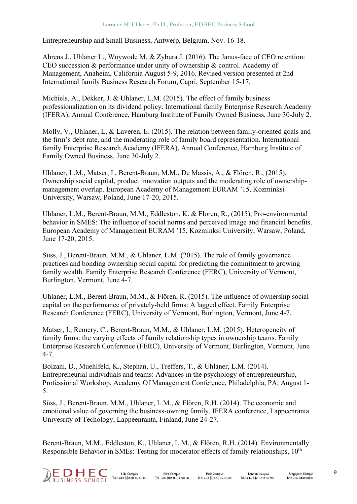Entrepreneurship and Small Business, Antwerp, Belgium, Nov. 16-18.

Ahrens J., Uhlaner L., Woywode M. & Zybura J. (2016). The Janus-face of CEO retention: CEO succession & performance under unity of ownership & control. Academy of Management, Anaheim, California August 5-9, 2016. Revised version presented at 2nd International family Business Research Forum, Capri, September 15-17.

Michiels, A., Dekker, J. & Uhlaner, L.M. (2015). The effect of family business professionalization on its dividend policy. International family Enterprise Research Academy (IFERA), Annual Conference, Hamburg Institute of Family Owned Business, June 30-July 2.

Molly, V., Uhlaner, L, & Laveren, E. (2015). The relation between family-oriented goals and the firm's debt rate, and the moderating role of family board representation. International family Enterprise Research Academy (IFERA), Annual Conference, Hamburg Institute of Family Owned Business, June 30-July 2.

Uhlaner, L.M., Matser, I., Berent-Braun, M.M., De Massis, A., & Flören, R., (2015), Ownership social capital, product innovation outputs and the moderating role of ownershipmanagement overlap. European Academy of Management EURAM '15, Kozminksi University, Warsaw, Poland, June 17-20, 2015.

Uhlaner, L.M., Berent-Braun, M.M., Eddleston, K. & Floren, R., (2015), Pro-environmental behavior in SMES: The influence of social norms and perceived image and financial benefits. European Academy of Management EURAM '15, Kozminksi University, Warsaw, Poland, June 17-20, 2015.

Süss, J., Berent-Braun, M.M., & Uhlaner, L.M. (2015). The role of family governance practices and bonding ownership social capital for predicting the commitment to growing family wealth. Family Enterprise Research Conference (FERC), University of Vermont, Burlington, Vermont, June 4-7.

Uhlaner, L.M., Berent-Braun, M.M., & Flören, R. (2015). The influence of ownership social capital on the performance of privately-held firms: A lagged effect. Family Enterprise Research Conference (FERC), University of Vermont, Burlington, Vermont, June 4-7.

Matser, I., Remery, C., Berent-Braun, M.M., & Uhlaner, L.M. (2015). Heterogeneity of family firms: the varying effects of family relationship types in ownership teams. Family Enterprise Research Conference (FERC), University of Vermont, Burlington, Vermont, June 4-7.

Bolzani, D., Muehlfeld, K., Stephan, U., Treffers, T., & Uhlaner, L.M. (2014). Entrepreneurial individuals and teams: Advances in the psychology of entrepreneurship, Professional Workshop, Academy Of Management Conference, Philadelphia, PA, August 1- 5.

Süss, J., Berent-Braun, M.M., Uhlaner, L.M., & Flören, R.H. (2014). The economic and emotional value of governing the business-owning family, IFERA conference, Lappeenranta Univesrity of Techology, Lappeenranta, Finland, June 24-27.

Berent-Braun, M.M., Eddleston, K., Uhlaner, L.M., & Flören, R.H. (2014). Environmentally Responsible Behavior in SMEs: Testing for moderator effects of family relationships, 10<sup>th</sup>

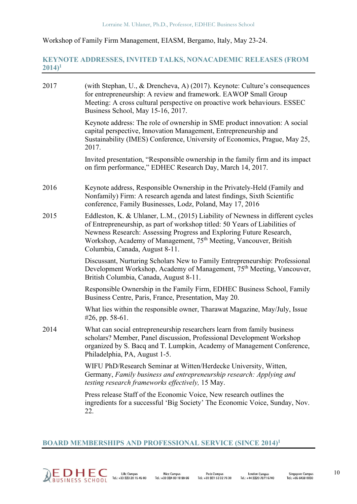## Workshop of Family Firm Management, EIASM, Bergamo, Italy, May 23-24.

## **KEYNOTE ADDRESSES, INVITED TALKS, NONACADEMIC RELEASES (FROM 2014)1**

| 2017 | (with Stephan, U., & Drencheva, A) (2017). Keynote: Culture's consequences<br>for entrepreneurship: A review and framework. EAWOP Small Group<br>Meeting: A cross cultural perspective on proactive work behaviours. ESSEC<br>Business School, May 15-16, 2017.                                                                                         |
|------|---------------------------------------------------------------------------------------------------------------------------------------------------------------------------------------------------------------------------------------------------------------------------------------------------------------------------------------------------------|
|      | Keynote address: The role of ownership in SME product innovation: A social<br>capital perspective, Innovation Management, Entrepreneurship and<br>Sustainability (IMES) Conference, University of Economics, Prague, May 25,<br>2017.                                                                                                                   |
|      | Invited presentation, "Responsible ownership in the family firm and its impact<br>on firm performance," EDHEC Research Day, March 14, 2017.                                                                                                                                                                                                             |
| 2016 | Keynote address, Responsible Ownership in the Privately-Held (Family and<br>Nonfamily) Firm: A research agenda and latest findings, Sixth Scientific<br>conference, Family Businesses, Lodz, Poland, May 17, 2016                                                                                                                                       |
| 2015 | Eddleston, K. & Uhlaner, L.M., (2015) Liability of Newness in different cycles<br>of Entrepreneurship, as part of workshop titled: 50 Years of Liabilities of<br>Newness Research: Assessing Progress and Exploring Future Research,<br>Workshop, Academy of Management, 75 <sup>th</sup> Meeting, Vancouver, British<br>Columbia, Canada, August 8-11. |
|      | Discussant, Nurturing Scholars New to Family Entrepreneurship: Professional<br>Development Workshop, Academy of Management, 75 <sup>th</sup> Meeting, Vancouver,<br>British Columbia, Canada, August 8-11.                                                                                                                                              |
|      | Responsible Ownership in the Family Firm, EDHEC Business School, Family<br>Business Centre, Paris, France, Presentation, May 20.                                                                                                                                                                                                                        |
|      | What lies within the responsible owner, Tharawat Magazine, May/July, Issue<br>#26, pp. $58-61$ .                                                                                                                                                                                                                                                        |
| 2014 | What can social entrepreneurship researchers learn from family business<br>scholars? Member, Panel discussion, Professional Development Workshop<br>organized by S. Bacq and T. Lumpkin, Academy of Management Conference,<br>Philadelphia, PA, August 1-5.                                                                                             |
|      | WIFU PhD/Research Seminar at Witten/Herdecke University, Witten,<br>Germany, Family business and entrepreneurship research: Applying and<br>testing research frameworks effectively, 15 May.                                                                                                                                                            |
|      | Press release Staff of the Economic Voice, New research outlines the<br>ingredients for a successful 'Big Society' The Economic Voice, Sunday, Nov.<br>22.                                                                                                                                                                                              |

### **BOARD MEMBERSHIPS AND PROFESSIONAL SERVICE (SINCE 2014)1**



Nice Campus<br>Tel.: +33 (0)4 93 18 99 66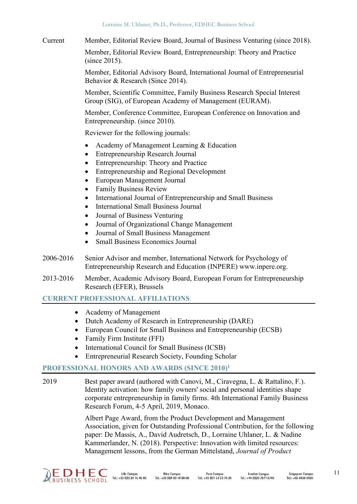Current Member, Editorial Review Board, Journal of Business Venturing (since 2018).

Member, Editorial Review Board, Entrepreneurship: Theory and Practice (since 2015).

Member, Editorial Advisory Board, International Journal of Entrepreneurial Behavior & Research (Since 2014).

Member, Scientific Committee, Family Business Research Special Interest Group (SIG), of European Academy of Management (EURAM).

Member, Conference Committee, European Conference on Innovation and Entrepreneurship. (since 2010).

Reviewer for the following journals:

- Academy of Management Learning & Education
- Entrepreneurship Research Journal
- Entrepreneurship: Theory and Practice
- Entrepreneurship and Regional Development
- European Management Journal
- Family Business Review
- International Journal of Entrepreneurship and Small Business
- International Small Business Journal
- Journal of Business Venturing
- Journal of Organizational Change Management
- Journal of Small Business Management
- Small Business Economics Journal
- 2006-2016 Senior Advisor and member, International Network for Psychology of Entrepreneurship Research and Education (INPERE) www.inpere.org.
- 2013-2016 Member, Academic Advisory Board, European Forum for Entrepreneurship Research (EFER), Brussels

#### **CURRENT PROFESSIONAL AFFILIATIONS**

- Academy of Management
- Dutch Academy of Research in Entrepreneurship (DARE)
- European Council for Small Business and Entrepreneurship (ECSB)
- Family Firm Institute (FFI)
- International Council for Small Business (ICSB)
- Entrepreneurial Research Society, Founding Scholar

#### **PROFESSIONAL HONORS AND AWARDS (SINCE 2010)1**

2019 Best paper award (authored with Canovi, M., Ciravegna, L. & Rattalino, F.). Identity activation: how family owners' social and personal identities shape corporate entrepreneurship in family firms. 4th International Family Business Research Forum, 4-5 April, 2019, Monaco.

> Albert Page Award, from the Product Development and Management Association, given for Outstanding Professional Contribution, for the following paper: De Massis, A., David Audretsch, D., Lorraine Uhlaner, L. & Nadine Kammerlander, N. (2018). Perspective: Innovation with limited resources: Management lessons, from the German Mittelstand, *Journal of Product*

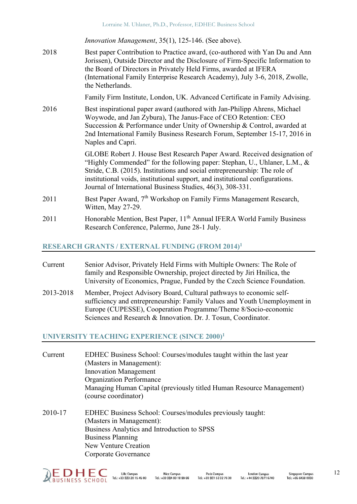*Innovation Management*, 35(1), 125-146. (See above).

2018 Best paper Contribution to Practice award, (co-authored with Yan Du and Ann Jorissen), Outside Director and the Disclosure of Firm-Specific Information to the Board of Directors in Privately Held Firms, awarded at IFERA (International Family Enterprise Research Academy), July 3-6, 2018, Zwolle, the Netherlands.

Family Firm Institute, London, UK. Advanced Certificate in Family Advising.

2016 Best inspirational paper award (authored with Jan-Philipp Ahrens, Michael Woywode, and Jan Zybura), The Janus-Face of CEO Retention: CEO Succession & Performance under Unity of Ownership & Control, awarded at 2nd International Family Business Research Forum, September 15-17, 2016 in Naples and Capri.

> GLOBE Robert J. House Best Research Paper Award. Received designation of "Highly Commended" for the following paper: Stephan, U., Uhlaner, L.M.,  $\&$ Stride, C.B. (2015). Institutions and social entrepreneurship: The role of institutional voids, institutional support, and institutional configurations. Journal of International Business Studies, 46(3), 308-331.

- 2011 Best Paper Award,  $7<sup>th</sup>$  Workshop on Family Firms Management Research, Witten, May 27-29.
- 2011 Honorable Mention, Best Paper, 11<sup>th</sup> Annual IFERA World Family Business Research Conference, Palermo, June 28-1 July.

## **RESEARCH GRANTS / EXTERNAL FUNDING (FROM 2014)1**

- Current Senior Advisor, Privately Held Firms with Multiple Owners: The Role of family and Responsible Ownership, project directed by Jiri Hnilica, the University of Economics, Prague, Funded by the Czech Science Foundation.
- 2013-2018 Member, Project Advisory Board, Cultural pathways to economic selfsufficiency and entrepreneurship: Family Values and Youth Unemployment in Europe (CUPESSE), Cooperation Programme/Theme 8/Socio-economic Sciences and Research & Innovation. Dr. J. Tosun, Coordinator.

## **UNIVERSITY TEACHING EXPERIENCE (SINCE 2000)1**

- Current EDHEC Business School: Courses/modules taught within the last year (Masters in Management): Innovation Management Organization Performance Managing Human Capital (previously titled Human Resource Management) (course coordinator)
- 2010-17 EDHEC Business School: Courses/modules previously taught: (Masters in Management): Business Analytics and Introduction to SPSS Business Planning New Venture Creation Corporate Governance

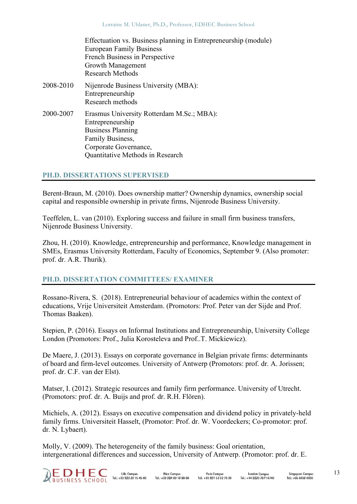|           | Effectuation vs. Business planning in Entrepreneurship (module)                                                                                                            |
|-----------|----------------------------------------------------------------------------------------------------------------------------------------------------------------------------|
|           | <b>European Family Business</b><br>French Business in Perspective<br>Growth Management<br><b>Research Methods</b>                                                          |
| 2008-2010 | Nijenrode Business University (MBA):<br>Entrepreneurship<br>Research methods                                                                                               |
| 2000-2007 | Erasmus University Rotterdam M.Sc.; MBA):<br>Entrepreneurship<br><b>Business Planning</b><br>Family Business,<br>Corporate Governance,<br>Quantitative Methods in Research |

## **PH.D. DISSERTATIONS SUPERVISED**

Berent-Braun, M. (2010). Does ownership matter? Ownership dynamics, ownership social capital and responsible ownership in private firms, Nijenrode Business University.

Teeffelen, L. van (2010). Exploring success and failure in small firm business transfers, Nijenrode Business University.

Zhou, H. (2010). Knowledge, entrepreneurship and performance, Knowledge management in SMEs, Erasmus University Rotterdam, Faculty of Economics, September 9. (Also promoter: prof. dr. A.R. Thurik).

## **PH.D. DISSERTATION COMMITTEES/ EXAMINER**

Rossano-Rivera, S. (2018). Entrepreneurial behaviour of academics within the context of educations, Vrije Universiteit Amsterdam. (Promotors: Prof. Peter van der Sijde and Prof. Thomas Baaken).

Stepien, P. (2016). Essays on Informal Institutions and Entrepreneurship, University College London (Promotors: Prof., Julia Korosteleva and Prof..T. Mickiewicz).

De Maere, J. (2013). Essays on corporate governance in Belgian private firms: determinants of board and firm-level outcomes. University of Antwerp (Promotors: prof. dr. A. Jorissen; prof. dr. C.F. van der Elst).

Matser, I. (2012). Strategic resources and family firm performance. University of Utrecht. (Promotors: prof. dr. A. Buijs and prof. dr. R.H. Flören).

Michiels, A. (2012). Essays on executive compensation and dividend policy in privately-held family firms. Universiteit Hasselt, (Promotor: Prof. dr. W. Voordeckers; Co-promotor: prof. dr. N. Lybaert).

Molly, V. (2009). The heterogeneity of the family business: Goal orientation, intergenerational differences and succession, University of Antwerp. (Promotor: prof. dr. E.